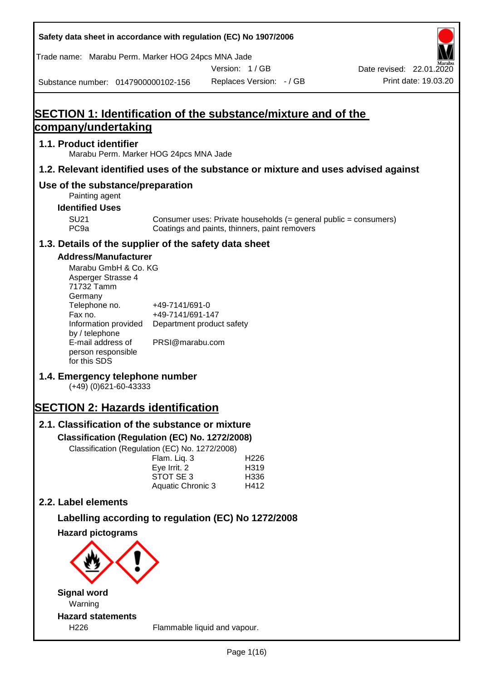| Safety data sheet in accordance with regulation (EC) No 1907/2006    |                                    |                                                                                                                   |                                                                                    |
|----------------------------------------------------------------------|------------------------------------|-------------------------------------------------------------------------------------------------------------------|------------------------------------------------------------------------------------|
| Trade name: Marabu Perm. Marker HOG 24pcs MNA Jade                   |                                    |                                                                                                                   |                                                                                    |
| Substance number: 0147900000102-156                                  |                                    | Version: 1/GB<br>Replaces Version: - / GB                                                                         | Date revised: 22.01.2020<br>Print date: 19.03.20                                   |
|                                                                      |                                    |                                                                                                                   |                                                                                    |
| <b>SECTION 1: Identification of the substance/mixture and of the</b> |                                    |                                                                                                                   |                                                                                    |
| company/undertaking                                                  |                                    |                                                                                                                   |                                                                                    |
| 1.1. Product identifier<br>Marabu Perm. Marker HOG 24pcs MNA Jade    |                                    |                                                                                                                   |                                                                                    |
|                                                                      |                                    |                                                                                                                   | 1.2. Relevant identified uses of the substance or mixture and uses advised against |
| Use of the substance/preparation<br>Painting agent                   |                                    |                                                                                                                   |                                                                                    |
| <b>Identified Uses</b>                                               |                                    |                                                                                                                   |                                                                                    |
| <b>SU21</b><br>PC <sub>9a</sub>                                      |                                    | Consumer uses: Private households (= general public = consumers)<br>Coatings and paints, thinners, paint removers |                                                                                    |
| 1.3. Details of the supplier of the safety data sheet                |                                    |                                                                                                                   |                                                                                    |
| <b>Address/Manufacturer</b>                                          |                                    |                                                                                                                   |                                                                                    |
| Marabu GmbH & Co. KG<br>Asperger Strasse 4<br>71732 Tamm<br>Germany  |                                    |                                                                                                                   |                                                                                    |
| Telephone no.<br>Fax no.                                             | +49-7141/691-0<br>+49-7141/691-147 |                                                                                                                   |                                                                                    |
| Information provided<br>by / telephone                               | Department product safety          |                                                                                                                   |                                                                                    |
| E-mail address of<br>person responsible<br>for this SDS              | PRSI@marabu.com                    |                                                                                                                   |                                                                                    |
| 1.4. Emergency telephone number<br>$(+49)$ (0)621-60-43333           |                                    |                                                                                                                   |                                                                                    |
| <b>SECTION 2: Hazards identification</b>                             |                                    |                                                                                                                   |                                                                                    |
| 2.1. Classification of the substance or mixture                      |                                    |                                                                                                                   |                                                                                    |
| Classification (Regulation (EC) No. 1272/2008)                       |                                    |                                                                                                                   |                                                                                    |
| Classification (Regulation (EC) No. 1272/2008)                       | Flam. Liq. 3                       | H <sub>226</sub>                                                                                                  |                                                                                    |
|                                                                      | Eye Irrit. 2<br>STOT SE 3          | H319<br>H336                                                                                                      |                                                                                    |
|                                                                      | Aquatic Chronic 3                  | H412                                                                                                              |                                                                                    |
| 2.2. Label elements                                                  |                                    |                                                                                                                   |                                                                                    |
|                                                                      |                                    | Labelling according to regulation (EC) No 1272/2008                                                               |                                                                                    |
| <b>Hazard pictograms</b>                                             |                                    |                                                                                                                   |                                                                                    |
|                                                                      |                                    |                                                                                                                   |                                                                                    |
| <b>Signal word</b>                                                   |                                    |                                                                                                                   |                                                                                    |
| Warning                                                              |                                    |                                                                                                                   |                                                                                    |
| <b>Hazard statements</b><br>H <sub>226</sub>                         |                                    | Flammable liquid and vapour.                                                                                      |                                                                                    |
|                                                                      |                                    |                                                                                                                   |                                                                                    |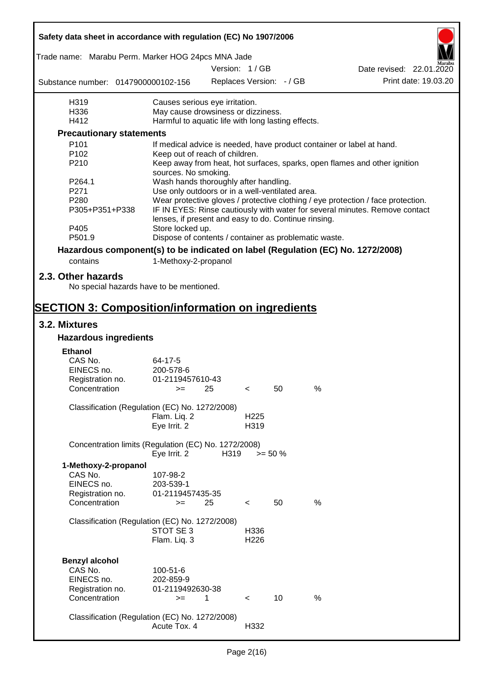| Safety data sheet in accordance with regulation (EC) No 1907/2006               |                                                       |      |                  |                          |      |                                                                                  |
|---------------------------------------------------------------------------------|-------------------------------------------------------|------|------------------|--------------------------|------|----------------------------------------------------------------------------------|
| Trade name: Marabu Perm. Marker HOG 24pcs MNA Jade                              |                                                       |      |                  |                          |      |                                                                                  |
|                                                                                 |                                                       |      | Version: 1/GB    |                          |      | Date revised: 22.01.2020                                                         |
| Substance number: 0147900000102-156                                             |                                                       |      |                  | Replaces Version: - / GB |      | Print date: 19.03.20                                                             |
| H319                                                                            | Causes serious eye irritation.                        |      |                  |                          |      |                                                                                  |
| H336                                                                            | May cause drowsiness or dizziness.                    |      |                  |                          |      |                                                                                  |
| H412                                                                            | Harmful to aquatic life with long lasting effects.    |      |                  |                          |      |                                                                                  |
| <b>Precautionary statements</b>                                                 |                                                       |      |                  |                          |      |                                                                                  |
| P101                                                                            |                                                       |      |                  |                          |      | If medical advice is needed, have product container or label at hand.            |
| P <sub>102</sub>                                                                | Keep out of reach of children.                        |      |                  |                          |      |                                                                                  |
| P210                                                                            | sources. No smoking.                                  |      |                  |                          |      | Keep away from heat, hot surfaces, sparks, open flames and other ignition        |
| P264.1                                                                          | Wash hands thoroughly after handling.                 |      |                  |                          |      |                                                                                  |
| P271                                                                            | Use only outdoors or in a well-ventilated area.       |      |                  |                          |      |                                                                                  |
| P280                                                                            |                                                       |      |                  |                          |      | Wear protective gloves / protective clothing / eye protection / face protection. |
| P305+P351+P338                                                                  | lenses, if present and easy to do. Continue rinsing.  |      |                  |                          |      | IF IN EYES: Rinse cautiously with water for several minutes. Remove contact      |
| P405                                                                            | Store locked up.                                      |      |                  |                          |      |                                                                                  |
| P501.9                                                                          | Dispose of contents / container as problematic waste. |      |                  |                          |      |                                                                                  |
| Hazardous component(s) to be indicated on label (Regulation (EC) No. 1272/2008) |                                                       |      |                  |                          |      |                                                                                  |
| contains                                                                        | 1-Methoxy-2-propanol                                  |      |                  |                          |      |                                                                                  |
| 2.3. Other hazards                                                              |                                                       |      |                  |                          |      |                                                                                  |
| No special hazards have to be mentioned.                                        |                                                       |      |                  |                          |      |                                                                                  |
|                                                                                 |                                                       |      |                  |                          |      |                                                                                  |
| <b>SECTION 3: Composition/information on ingredients</b>                        |                                                       |      |                  |                          |      |                                                                                  |
| 3.2. Mixtures                                                                   |                                                       |      |                  |                          |      |                                                                                  |
| <b>Hazardous ingredients</b>                                                    |                                                       |      |                  |                          |      |                                                                                  |
| <b>Ethanol</b>                                                                  |                                                       |      |                  |                          |      |                                                                                  |
| CAS No.                                                                         | 64-17-5                                               |      |                  |                          |      |                                                                                  |
| EINECS no.                                                                      | 200-578-6                                             |      |                  |                          |      |                                                                                  |
| Registration no.                                                                | 01-2119457610-43                                      |      |                  |                          |      |                                                                                  |
| Concentration                                                                   | $>= 25$                                               |      | $\epsilon$       | 50                       | %    |                                                                                  |
| Classification (Regulation (EC) No. 1272/2008)                                  | Flam. Liq. 2                                          |      | H <sub>225</sub> |                          |      |                                                                                  |
|                                                                                 | Eye Irrit. 2                                          |      | H319             |                          |      |                                                                                  |
| Concentration limits (Regulation (EC) No. 1272/2008)                            |                                                       |      |                  |                          |      |                                                                                  |
|                                                                                 | Eye Irrit. 2                                          | H319 | $>= 50 \%$       |                          |      |                                                                                  |
| 1-Methoxy-2-propanol                                                            |                                                       |      |                  |                          |      |                                                                                  |
| CAS No.                                                                         | 107-98-2                                              |      |                  |                          |      |                                                                                  |
| EINECS no.                                                                      | 203-539-1                                             |      |                  |                          |      |                                                                                  |
| Registration no.                                                                | 01-2119457435-35                                      |      |                  |                          |      |                                                                                  |
| Concentration                                                                   | $>=$                                                  | 25   | $\lt$            | 50                       | %    |                                                                                  |
|                                                                                 |                                                       |      |                  |                          |      |                                                                                  |
| Classification (Regulation (EC) No. 1272/2008)                                  | STOT SE 3                                             |      | H336             |                          |      |                                                                                  |
|                                                                                 | Flam. Liq. 3                                          |      | H <sub>226</sub> |                          |      |                                                                                  |
|                                                                                 |                                                       |      |                  |                          |      |                                                                                  |
| <b>Benzyl alcohol</b>                                                           |                                                       |      |                  |                          |      |                                                                                  |
| CAS No.                                                                         | 100-51-6                                              |      |                  |                          |      |                                                                                  |
| EINECS no.                                                                      | 202-859-9                                             |      |                  |                          |      |                                                                                  |
| Registration no.                                                                | 01-2119492630-38                                      |      |                  |                          |      |                                                                                  |
| Concentration                                                                   | $>=$                                                  | 1    | $\lt$            | 10                       | $\%$ |                                                                                  |
|                                                                                 |                                                       |      |                  |                          |      |                                                                                  |
| Classification (Regulation (EC) No. 1272/2008)                                  |                                                       |      |                  |                          |      |                                                                                  |
|                                                                                 | Acute Tox. 4                                          |      | H332             |                          |      |                                                                                  |
|                                                                                 |                                                       |      |                  |                          |      |                                                                                  |

 $\mathbf{r}$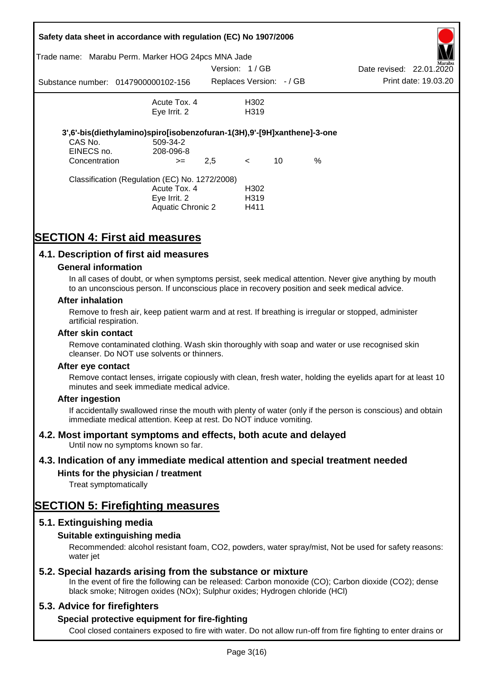|                                        | Safety data sheet in accordance with regulation (EC) No 1907/2006<br>Trade name: Marabu Perm. Marker HOG 24pcs MNA Jade |               |                                   |    |      |                          |                      |
|----------------------------------------|-------------------------------------------------------------------------------------------------------------------------|---------------|-----------------------------------|----|------|--------------------------|----------------------|
|                                        |                                                                                                                         | Version: 1/GB |                                   |    |      | Date revised: 22.01.2020 | Aarabu               |
|                                        | Substance number: 0147900000102-156                                                                                     |               | Replaces Version: -/ GB           |    |      |                          | Print date: 19.03.20 |
|                                        | Acute Tox, 4                                                                                                            |               | H302                              |    |      |                          |                      |
|                                        | Eye Irrit. 2                                                                                                            |               | H <sub>3</sub> 19                 |    |      |                          |                      |
| CAS No.<br>EINECS no.<br>Concentration | 3',6'-bis(diethylamino)spiro[isobenzofuran-1(3H),9'-[9H]xanthene]-3-one<br>509-34-2<br>208-096-8<br>$>=$                | 2,5           | $\lt$                             | 10 | $\%$ |                          |                      |
|                                        | Classification (Regulation (EC) No. 1272/2008)<br>Acute Tox. 4<br>Eye Irrit. 2<br>Aquatic Chronic 2                     |               | H302<br>H <sub>3</sub> 19<br>H411 |    |      |                          |                      |

# **SECTION 4: First aid measures**

## **4.1. Description of first aid measures**

#### **General information**

In all cases of doubt, or when symptoms persist, seek medical attention. Never give anything by mouth to an unconscious person. If unconscious place in recovery position and seek medical advice.

#### **After inhalation**

Remove to fresh air, keep patient warm and at rest. If breathing is irregular or stopped, administer artificial respiration.

#### **After skin contact**

Remove contaminated clothing. Wash skin thoroughly with soap and water or use recognised skin cleanser. Do NOT use solvents or thinners.

#### **After eye contact**

Remove contact lenses, irrigate copiously with clean, fresh water, holding the eyelids apart for at least 10 minutes and seek immediate medical advice.

#### **After ingestion**

If accidentally swallowed rinse the mouth with plenty of water (only if the person is conscious) and obtain immediate medical attention. Keep at rest. Do NOT induce vomiting.

#### **4.2. Most important symptoms and effects, both acute and delayed**

Until now no symptoms known so far.

#### **4.3. Indication of any immediate medical attention and special treatment needed**

## **Hints for the physician / treatment**

Treat symptomatically

# **SECTION 5: Firefighting measures**

#### **5.1. Extinguishing media**

#### **Suitable extinguishing media**

Recommended: alcohol resistant foam, CO2, powders, water spray/mist, Not be used for safety reasons: water *iet* 

#### **5.2. Special hazards arising from the substance or mixture**

In the event of fire the following can be released: Carbon monoxide (CO); Carbon dioxide (CO2); dense black smoke; Nitrogen oxides (NOx); Sulphur oxides; Hydrogen chloride (HCl)

#### **5.3. Advice for firefighters**

#### **Special protective equipment for fire-fighting**

Cool closed containers exposed to fire with water. Do not allow run-off from fire fighting to enter drains or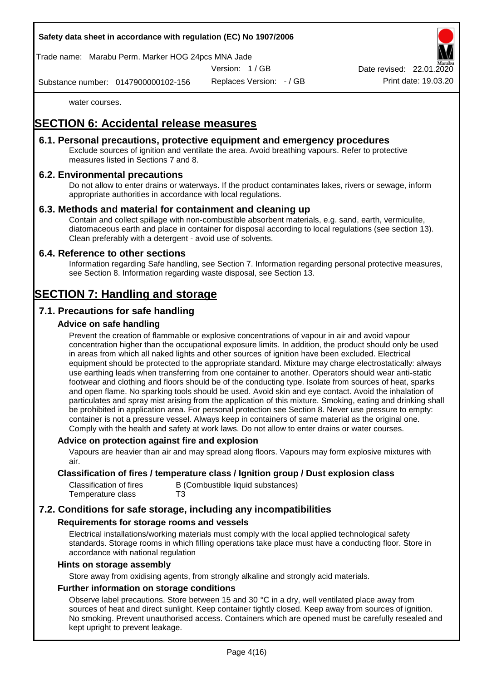#### **Safety data sheet in accordance with regulation (EC) No 1907/2006**

Trade name: Marabu Perm. Marker HOG 24pcs MNA Jade

Version: 1 / GB

Substance number: 0147900000102-156

Replaces Version: - / GB Print date: 19.03.20 Date revised: 22.01.

water courses.

# **SECTION 6: Accidental release measures**

## **6.1. Personal precautions, protective equipment and emergency procedures**

Exclude sources of ignition and ventilate the area. Avoid breathing vapours. Refer to protective measures listed in Sections 7 and 8.

## **6.2. Environmental precautions**

Do not allow to enter drains or waterways. If the product contaminates lakes, rivers or sewage, inform appropriate authorities in accordance with local regulations.

## **6.3. Methods and material for containment and cleaning up**

Contain and collect spillage with non-combustible absorbent materials, e.g. sand, earth, vermiculite, diatomaceous earth and place in container for disposal according to local regulations (see section 13). Clean preferably with a detergent - avoid use of solvents.

#### **6.4. Reference to other sections**

Information regarding Safe handling, see Section 7. Information regarding personal protective measures, see Section 8. Information regarding waste disposal, see Section 13.

# **SECTION 7: Handling and storage**

# **7.1. Precautions for safe handling**

## **Advice on safe handling**

Prevent the creation of flammable or explosive concentrations of vapour in air and avoid vapour concentration higher than the occupational exposure limits. In addition, the product should only be used in areas from which all naked lights and other sources of ignition have been excluded. Electrical equipment should be protected to the appropriate standard. Mixture may charge electrostatically: always use earthing leads when transferring from one container to another. Operators should wear anti-static footwear and clothing and floors should be of the conducting type. Isolate from sources of heat, sparks and open flame. No sparking tools should be used. Avoid skin and eye contact. Avoid the inhalation of particulates and spray mist arising from the application of this mixture. Smoking, eating and drinking shall be prohibited in application area. For personal protection see Section 8. Never use pressure to empty: container is not a pressure vessel. Always keep in containers of same material as the original one. Comply with the health and safety at work laws. Do not allow to enter drains or water courses.

#### **Advice on protection against fire and explosion**

Vapours are heavier than air and may spread along floors. Vapours may form explosive mixtures with air.

#### **Classification of fires / temperature class / Ignition group / Dust explosion class**

| Classification of fires | B (Combustible liquid substances) |
|-------------------------|-----------------------------------|
| Temperature class       | T3                                |

# **7.2. Conditions for safe storage, including any incompatibilities**

#### **Requirements for storage rooms and vessels**

Electrical installations/working materials must comply with the local applied technological safety standards. Storage rooms in which filling operations take place must have a conducting floor. Store in accordance with national regulation

#### **Hints on storage assembly**

Store away from oxidising agents, from strongly alkaline and strongly acid materials.

## **Further information on storage conditions**

Observe label precautions. Store between 15 and 30 °C in a dry, well ventilated place away from sources of heat and direct sunlight. Keep container tightly closed. Keep away from sources of ignition. No smoking. Prevent unauthorised access. Containers which are opened must be carefully resealed and kept upright to prevent leakage.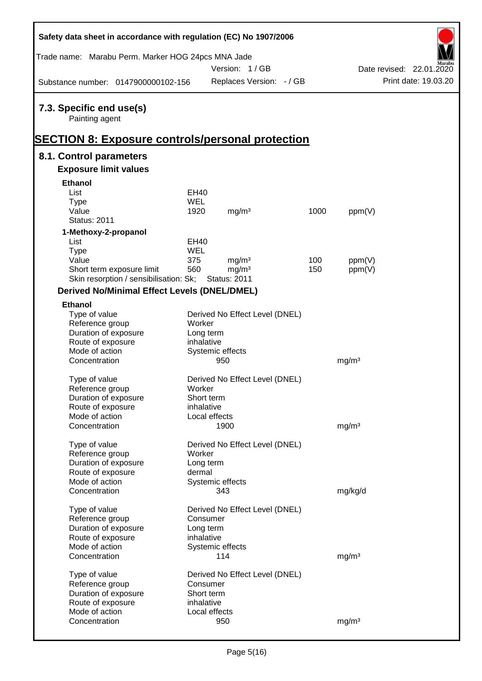| Safety data sheet in accordance with regulation (EC) No 1907/2006                                     |            |                                          |            |                   |                          |
|-------------------------------------------------------------------------------------------------------|------------|------------------------------------------|------------|-------------------|--------------------------|
| Trade name: Marabu Perm. Marker HOG 24pcs MNA Jade                                                    |            | Version: 1/GB                            |            |                   | Date revised: 22.01.2020 |
| Substance number: 0147900000102-156                                                                   |            | Replaces Version: - / GB                 |            |                   | Print date: 19.03.20     |
| 7.3. Specific end use(s)<br>Painting agent<br><b>SECTION 8: Exposure controls/personal protection</b> |            |                                          |            |                   |                          |
| 8.1. Control parameters                                                                               |            |                                          |            |                   |                          |
| <b>Exposure limit values</b>                                                                          |            |                                          |            |                   |                          |
| <b>Ethanol</b>                                                                                        |            |                                          |            |                   |                          |
| List                                                                                                  | EH40       |                                          |            |                   |                          |
| <b>Type</b>                                                                                           | <b>WEL</b> |                                          |            |                   |                          |
| Value                                                                                                 | 1920       | mg/m <sup>3</sup>                        | 1000       | ppm(V)            |                          |
| <b>Status: 2011</b>                                                                                   |            |                                          |            |                   |                          |
| 1-Methoxy-2-propanol                                                                                  |            |                                          |            |                   |                          |
| List                                                                                                  | EH40       |                                          |            |                   |                          |
| <b>Type</b>                                                                                           | <b>WEL</b> |                                          |            |                   |                          |
| Value                                                                                                 | 375<br>560 | mg/m <sup>3</sup>                        | 100<br>150 | ppm(V)            |                          |
| Short term exposure limit<br>Skin resorption / sensibilisation: Sk;                                   |            | mg/m <sup>3</sup><br><b>Status: 2011</b> |            | ppm(V)            |                          |
| <b>Derived No/Minimal Effect Levels (DNEL/DMEL)</b>                                                   |            |                                          |            |                   |                          |
| <b>Ethanol</b>                                                                                        |            |                                          |            |                   |                          |
| Type of value                                                                                         |            | Derived No Effect Level (DNEL)           |            |                   |                          |
| Reference group                                                                                       | Worker     |                                          |            |                   |                          |
| Duration of exposure                                                                                  | Long term  |                                          |            |                   |                          |
| Route of exposure                                                                                     | inhalative |                                          |            |                   |                          |
| Mode of action                                                                                        |            | Systemic effects                         |            |                   |                          |
| Concentration                                                                                         |            | 950                                      |            | mg/m <sup>3</sup> |                          |
| Type of value                                                                                         |            | Derived No Effect Level (DNEL)           |            |                   |                          |
| Reference group                                                                                       | Worker     |                                          |            |                   |                          |
| Duration of exposure                                                                                  | Short term |                                          |            |                   |                          |
| Route of exposure                                                                                     | inhalative |                                          |            |                   |                          |
| Mode of action                                                                                        |            | Local effects                            |            |                   |                          |
| Concentration                                                                                         |            | 1900                                     |            | mg/m <sup>3</sup> |                          |
| Type of value                                                                                         |            | Derived No Effect Level (DNEL)           |            |                   |                          |
| Reference group                                                                                       | Worker     |                                          |            |                   |                          |
| Duration of exposure                                                                                  | Long term  |                                          |            |                   |                          |
| Route of exposure                                                                                     | dermal     |                                          |            |                   |                          |
| Mode of action                                                                                        |            | Systemic effects                         |            |                   |                          |
| Concentration                                                                                         |            | 343                                      |            | mg/kg/d           |                          |
| Type of value                                                                                         |            | Derived No Effect Level (DNEL)           |            |                   |                          |
| Reference group                                                                                       | Consumer   |                                          |            |                   |                          |
| Duration of exposure                                                                                  | Long term  |                                          |            |                   |                          |
| Route of exposure                                                                                     | inhalative |                                          |            |                   |                          |
| Mode of action                                                                                        |            | Systemic effects                         |            |                   |                          |
| Concentration                                                                                         |            | 114                                      |            | mg/m <sup>3</sup> |                          |
| Type of value                                                                                         |            | Derived No Effect Level (DNEL)           |            |                   |                          |
| Reference group                                                                                       | Consumer   |                                          |            |                   |                          |
| Duration of exposure                                                                                  | Short term |                                          |            |                   |                          |
| Route of exposure                                                                                     | inhalative |                                          |            |                   |                          |
| Mode of action                                                                                        |            | Local effects                            |            |                   |                          |
| Concentration                                                                                         |            | 950                                      |            | mg/m <sup>3</sup> |                          |

 $\mathsf{r}$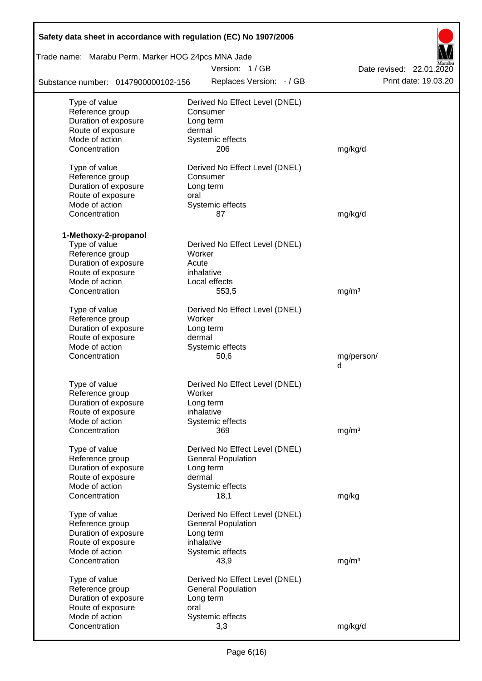| Safety data sheet in accordance with regulation (EC) No 1907/2006 |                                                             |                          |
|-------------------------------------------------------------------|-------------------------------------------------------------|--------------------------|
| Trade name: Marabu Perm. Marker HOG 24pcs MNA Jade                |                                                             |                          |
|                                                                   | Version: 1/GB                                               | Date revised: 22.01.2020 |
| Substance number: 0147900000102-156                               | Replaces Version: - / GB                                    | Print date: 19.03.20     |
| Type of value                                                     | Derived No Effect Level (DNEL)                              |                          |
| Reference group                                                   | Consumer                                                    |                          |
| Duration of exposure                                              | Long term                                                   |                          |
| Route of exposure                                                 | dermal                                                      |                          |
| Mode of action                                                    | Systemic effects                                            |                          |
| Concentration                                                     | 206                                                         | mg/kg/d                  |
| Type of value                                                     | Derived No Effect Level (DNEL)                              |                          |
| Reference group                                                   | Consumer                                                    |                          |
| Duration of exposure                                              | Long term                                                   |                          |
| Route of exposure                                                 | oral                                                        |                          |
| Mode of action                                                    | Systemic effects                                            |                          |
| Concentration                                                     | 87                                                          | mg/kg/d                  |
| 1-Methoxy-2-propanol                                              |                                                             |                          |
| Type of value                                                     | Derived No Effect Level (DNEL)                              |                          |
| Reference group                                                   | Worker                                                      |                          |
| Duration of exposure                                              | Acute                                                       |                          |
| Route of exposure                                                 | inhalative                                                  |                          |
| Mode of action                                                    | Local effects                                               |                          |
| Concentration                                                     | 553,5                                                       | mg/m <sup>3</sup>        |
|                                                                   |                                                             |                          |
| Type of value<br>Reference group                                  | Derived No Effect Level (DNEL)<br>Worker                    |                          |
| Duration of exposure                                              | Long term                                                   |                          |
| Route of exposure                                                 | dermal                                                      |                          |
| Mode of action                                                    | Systemic effects                                            |                          |
| Concentration                                                     | 50,6                                                        | mg/person/               |
|                                                                   |                                                             | d                        |
| Type of value                                                     | Derived No Effect Level (DNEL)                              |                          |
| Reference group                                                   | Worker                                                      |                          |
| Duration of exposure                                              | Long term                                                   |                          |
| Route of exposure                                                 | inhalative                                                  |                          |
| Mode of action                                                    | Systemic effects                                            |                          |
| Concentration                                                     | 369                                                         | mg/m <sup>3</sup>        |
|                                                                   |                                                             |                          |
| Type of value<br>Reference group                                  | Derived No Effect Level (DNEL)<br><b>General Population</b> |                          |
| Duration of exposure                                              | Long term                                                   |                          |
| Route of exposure                                                 | dermal                                                      |                          |
| Mode of action                                                    | Systemic effects                                            |                          |
| Concentration                                                     | 18,1                                                        | mg/kg                    |
|                                                                   |                                                             |                          |
| Type of value                                                     | Derived No Effect Level (DNEL)                              |                          |
| Reference group<br>Duration of exposure                           | <b>General Population</b>                                   |                          |
| Route of exposure                                                 | Long term<br>inhalative                                     |                          |
| Mode of action                                                    | Systemic effects                                            |                          |
| Concentration                                                     | 43,9                                                        | mg/m <sup>3</sup>        |
|                                                                   |                                                             |                          |
| Type of value<br>Reference group                                  | Derived No Effect Level (DNEL)<br><b>General Population</b> |                          |
| Duration of exposure                                              | Long term                                                   |                          |
| Route of exposure                                                 | oral                                                        |                          |
| Mode of action                                                    | Systemic effects                                            |                          |
| Concentration                                                     | 3,3                                                         | mg/kg/d                  |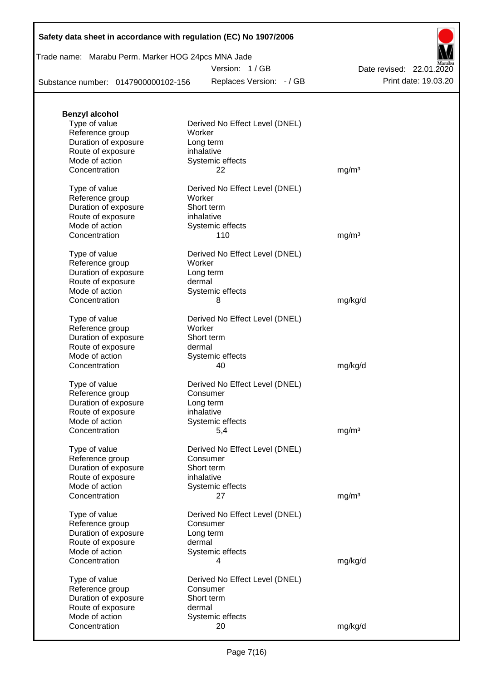|  | Safety data sheet in accordance with regulation (EC) No 1907/2006 |  |
|--|-------------------------------------------------------------------|--|
|--|-------------------------------------------------------------------|--|

|  | Trade name: Marabu Perm. Marker HOG 24pcs MNA Jade |
|--|----------------------------------------------------|
|  |                                                    |

Version: 1 / GB

Replaces Version: - / GB Print date: 19.03.20 Date revised: 22.01.2020

Substance number: 0147900000102-156

| <b>Benzyl alcohol</b> |                                |                   |
|-----------------------|--------------------------------|-------------------|
| Type of value         | Derived No Effect Level (DNEL) |                   |
| Reference group       | Worker                         |                   |
| Duration of exposure  | Long term                      |                   |
| Route of exposure     | inhalative                     |                   |
| Mode of action        | Systemic effects               |                   |
| Concentration         | 22                             | mg/m <sup>3</sup> |
| Type of value         | Derived No Effect Level (DNEL) |                   |
| Reference group       | Worker                         |                   |
| Duration of exposure  | Short term                     |                   |
| Route of exposure     | inhalative                     |                   |
| Mode of action        | Systemic effects               |                   |
| Concentration         | 110                            | mg/m <sup>3</sup> |
| Type of value         | Derived No Effect Level (DNEL) |                   |
| Reference group       | Worker                         |                   |
| Duration of exposure  | Long term                      |                   |
| Route of exposure     | dermal                         |                   |
| Mode of action        | Systemic effects               |                   |
| Concentration         | 8                              | mg/kg/d           |
| Type of value         | Derived No Effect Level (DNEL) |                   |
| Reference group       | Worker                         |                   |
| Duration of exposure  | Short term                     |                   |
| Route of exposure     | dermal                         |                   |
| Mode of action        | Systemic effects               |                   |
| Concentration         | 40                             | mg/kg/d           |
| Type of value         | Derived No Effect Level (DNEL) |                   |
| Reference group       | Consumer                       |                   |
| Duration of exposure  | Long term                      |                   |
| Route of exposure     | inhalative                     |                   |
| Mode of action        | Systemic effects               |                   |
| Concentration         | 5,4                            | mg/m <sup>3</sup> |
| Type of value         | Derived No Effect Level (DNEL) |                   |
| Reference group       | Consumer                       |                   |
| Duration of exposure  | Short term                     |                   |
| Route of exposure     | inhalative                     |                   |
| Mode of action        | Systemic effects               |                   |
| Concentration         | 27                             | mg/m <sup>3</sup> |
| Type of value         | Derived No Effect Level (DNEL) |                   |
| Reference group       | Consumer                       |                   |
| Duration of exposure  | Long term                      |                   |
| Route of exposure     | dermal                         |                   |
| Mode of action        | Systemic effects               |                   |
| Concentration         | 4                              | mg/kg/d           |
| Type of value         | Derived No Effect Level (DNEL) |                   |
| Reference group       | Consumer                       |                   |
| Duration of exposure  | Short term                     |                   |
| Route of exposure     | dermal                         |                   |
| Mode of action        | Systemic effects               |                   |
| Concentration         | 20                             | mg/kg/d           |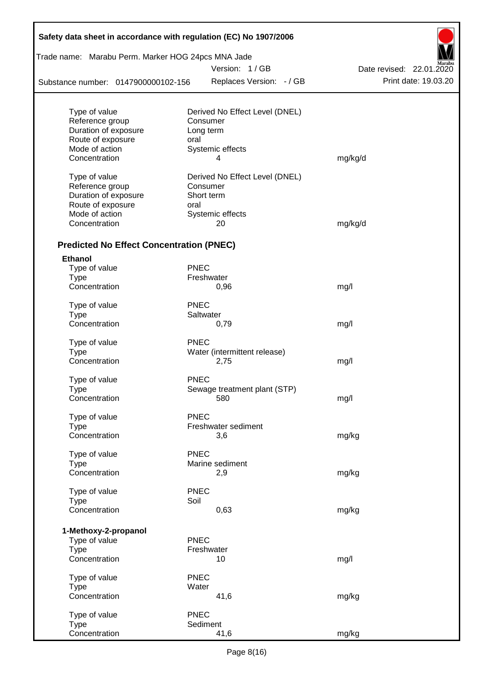| Trade name: Marabu Perm. Marker HOG 24pcs MNA Jade<br>Version: 1/GB<br>Replaces Version: - / GB<br>Substance number: 0147900000102-156<br>Derived No Effect Level (DNEL)<br>Consumer<br>Long term<br>oral | Date revised: 22.01.2020<br>Print date: 19.03.20                                                                                                        |
|-----------------------------------------------------------------------------------------------------------------------------------------------------------------------------------------------------------|---------------------------------------------------------------------------------------------------------------------------------------------------------|
|                                                                                                                                                                                                           |                                                                                                                                                         |
|                                                                                                                                                                                                           |                                                                                                                                                         |
|                                                                                                                                                                                                           |                                                                                                                                                         |
|                                                                                                                                                                                                           |                                                                                                                                                         |
|                                                                                                                                                                                                           |                                                                                                                                                         |
|                                                                                                                                                                                                           |                                                                                                                                                         |
|                                                                                                                                                                                                           |                                                                                                                                                         |
| Systemic effects<br>4                                                                                                                                                                                     |                                                                                                                                                         |
|                                                                                                                                                                                                           | mg/kg/d                                                                                                                                                 |
| Derived No Effect Level (DNEL)                                                                                                                                                                            |                                                                                                                                                         |
| Consumer                                                                                                                                                                                                  |                                                                                                                                                         |
| Short term                                                                                                                                                                                                |                                                                                                                                                         |
| oral                                                                                                                                                                                                      |                                                                                                                                                         |
| Systemic effects                                                                                                                                                                                          |                                                                                                                                                         |
| 20                                                                                                                                                                                                        | mg/kg/d                                                                                                                                                 |
| <b>Predicted No Effect Concentration (PNEC)</b>                                                                                                                                                           |                                                                                                                                                         |
|                                                                                                                                                                                                           |                                                                                                                                                         |
| <b>PNEC</b>                                                                                                                                                                                               |                                                                                                                                                         |
| Freshwater                                                                                                                                                                                                |                                                                                                                                                         |
| 0,96                                                                                                                                                                                                      | mg/l                                                                                                                                                    |
| <b>PNEC</b>                                                                                                                                                                                               |                                                                                                                                                         |
| Saltwater                                                                                                                                                                                                 |                                                                                                                                                         |
| 0,79                                                                                                                                                                                                      | mg/l                                                                                                                                                    |
| <b>PNEC</b>                                                                                                                                                                                               |                                                                                                                                                         |
| Water (intermittent release)                                                                                                                                                                              |                                                                                                                                                         |
| 2,75                                                                                                                                                                                                      | mg/l                                                                                                                                                    |
|                                                                                                                                                                                                           |                                                                                                                                                         |
|                                                                                                                                                                                                           |                                                                                                                                                         |
| 580                                                                                                                                                                                                       | mg/l                                                                                                                                                    |
|                                                                                                                                                                                                           |                                                                                                                                                         |
|                                                                                                                                                                                                           |                                                                                                                                                         |
|                                                                                                                                                                                                           | mg/kg                                                                                                                                                   |
|                                                                                                                                                                                                           |                                                                                                                                                         |
| <b>PNEC</b>                                                                                                                                                                                               |                                                                                                                                                         |
|                                                                                                                                                                                                           |                                                                                                                                                         |
|                                                                                                                                                                                                           | mg/kg                                                                                                                                                   |
| <b>PNEC</b>                                                                                                                                                                                               |                                                                                                                                                         |
|                                                                                                                                                                                                           |                                                                                                                                                         |
| 0,63                                                                                                                                                                                                      | mg/kg                                                                                                                                                   |
|                                                                                                                                                                                                           |                                                                                                                                                         |
|                                                                                                                                                                                                           |                                                                                                                                                         |
|                                                                                                                                                                                                           |                                                                                                                                                         |
| 10                                                                                                                                                                                                        | mg/l                                                                                                                                                    |
| <b>PNEC</b>                                                                                                                                                                                               |                                                                                                                                                         |
|                                                                                                                                                                                                           |                                                                                                                                                         |
|                                                                                                                                                                                                           |                                                                                                                                                         |
| Water                                                                                                                                                                                                     |                                                                                                                                                         |
| 41,6                                                                                                                                                                                                      | mg/kg                                                                                                                                                   |
| <b>PNEC</b><br>Sediment                                                                                                                                                                                   |                                                                                                                                                         |
|                                                                                                                                                                                                           | <b>PNEC</b><br>Sewage treatment plant (STP)<br><b>PNEC</b><br>Freshwater sediment<br>3,6<br>Marine sediment<br>2,9<br>Soil<br><b>PNEC</b><br>Freshwater |

Г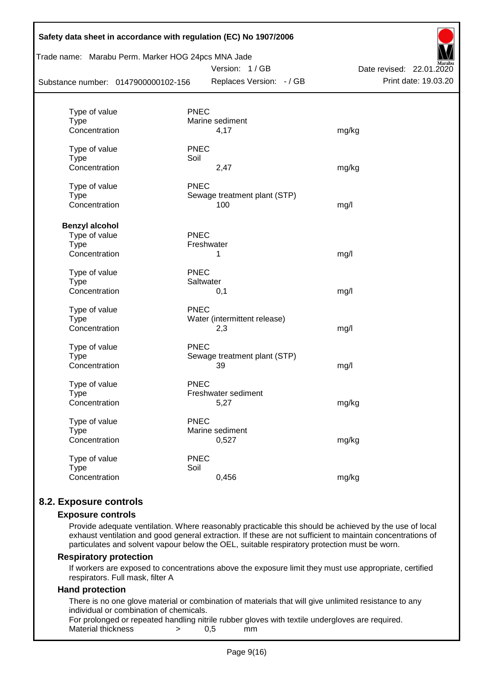| Safety data sheet in accordance with regulation (EC) No 1907/2006<br>Trade name: Marabu Perm. Marker HOG 24pcs MNA Jade<br>Substance number: 0147900000102-156 | Date revised: 22.01.2020<br>Print date: 19.03.20<br>Replaces Version: - / GB |       |
|----------------------------------------------------------------------------------------------------------------------------------------------------------------|------------------------------------------------------------------------------|-------|
|                                                                                                                                                                |                                                                              |       |
| Type of value                                                                                                                                                  | <b>PNEC</b>                                                                  |       |
| <b>Type</b>                                                                                                                                                    | Marine sediment                                                              |       |
| Concentration                                                                                                                                                  | 4,17                                                                         | mg/kg |
| Type of value                                                                                                                                                  | <b>PNEC</b>                                                                  |       |
| <b>Type</b>                                                                                                                                                    | Soil                                                                         |       |
| Concentration                                                                                                                                                  | 2,47                                                                         | mg/kg |
| Type of value                                                                                                                                                  | <b>PNEC</b>                                                                  |       |
| <b>Type</b>                                                                                                                                                    | Sewage treatment plant (STP)                                                 |       |
| Concentration                                                                                                                                                  | 100                                                                          | mg/l  |
| <b>Benzyl alcohol</b>                                                                                                                                          |                                                                              |       |
| Type of value                                                                                                                                                  | <b>PNEC</b>                                                                  |       |
| <b>Type</b>                                                                                                                                                    | Freshwater                                                                   |       |
| Concentration                                                                                                                                                  | 1                                                                            | mg/l  |
| Type of value                                                                                                                                                  | <b>PNEC</b>                                                                  |       |
| <b>Type</b>                                                                                                                                                    | Saltwater                                                                    |       |
| Concentration                                                                                                                                                  | 0,1                                                                          | mg/l  |
| Type of value                                                                                                                                                  | <b>PNEC</b>                                                                  |       |
| <b>Type</b>                                                                                                                                                    | Water (intermittent release)                                                 |       |
| Concentration                                                                                                                                                  | 2,3                                                                          | mg/l  |
| Type of value                                                                                                                                                  | <b>PNEC</b>                                                                  |       |
| <b>Type</b>                                                                                                                                                    | Sewage treatment plant (STP)                                                 |       |
| Concentration                                                                                                                                                  | 39                                                                           | mg/l  |
| Type of value                                                                                                                                                  | <b>PNEC</b>                                                                  |       |
| <b>Type</b>                                                                                                                                                    | Freshwater sediment                                                          |       |
| Concentration                                                                                                                                                  | 5,27                                                                         | mg/kg |
| Type of value                                                                                                                                                  | <b>PNEC</b>                                                                  |       |
| <b>Type</b>                                                                                                                                                    | Marine sediment                                                              |       |
| Concentration                                                                                                                                                  | 0,527                                                                        | mg/kg |
| Type of value                                                                                                                                                  | <b>PNEC</b>                                                                  |       |
| <b>Type</b>                                                                                                                                                    | Soil                                                                         |       |
| Concentration                                                                                                                                                  | 0,456                                                                        | mg/kg |
|                                                                                                                                                                |                                                                              |       |

# **8.2. Exposure controls**

#### **Exposure controls**

Provide adequate ventilation. Where reasonably practicable this should be achieved by the use of local exhaust ventilation and good general extraction. If these are not sufficient to maintain concentrations of particulates and solvent vapour below the OEL, suitable respiratory protection must be worn.

#### **Respiratory protection**

If workers are exposed to concentrations above the exposure limit they must use appropriate, certified respirators. Full mask, filter A

#### **Hand protection**

There is no one glove material or combination of materials that will give unlimited resistance to any individual or combination of chemicals.

For prolonged or repeated handling nitrile rubber gloves with textile undergloves are required. Material thickness  $\rightarrow$  0,5 mm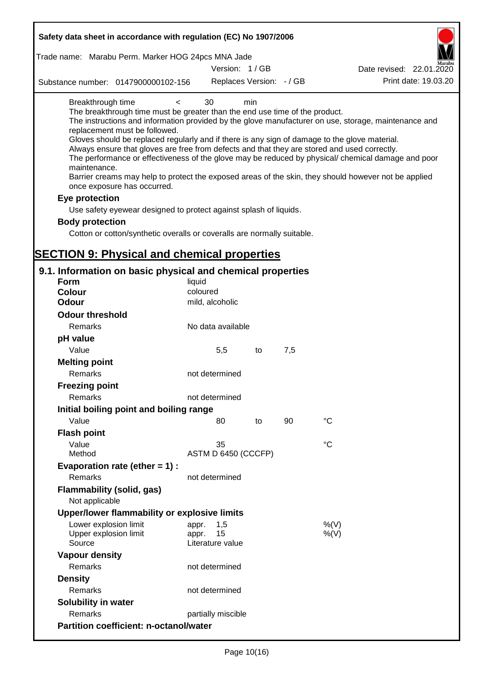| Safety data sheet in accordance with regulation (EC) No 1907/2006                                                                                                                                                                                                                                                                                                                 |                                                 |     |     |                                                                                                                                                                                                                                                                                                                    |
|-----------------------------------------------------------------------------------------------------------------------------------------------------------------------------------------------------------------------------------------------------------------------------------------------------------------------------------------------------------------------------------|-------------------------------------------------|-----|-----|--------------------------------------------------------------------------------------------------------------------------------------------------------------------------------------------------------------------------------------------------------------------------------------------------------------------|
| Trade name: Marabu Perm. Marker HOG 24pcs MNA Jade                                                                                                                                                                                                                                                                                                                                |                                                 |     |     |                                                                                                                                                                                                                                                                                                                    |
|                                                                                                                                                                                                                                                                                                                                                                                   | Version: 1/GB                                   |     |     | Date revised: 22.01.2020                                                                                                                                                                                                                                                                                           |
| Substance number: 0147900000102-156                                                                                                                                                                                                                                                                                                                                               | Replaces Version: - / GB                        |     |     | Print date: 19.03.20                                                                                                                                                                                                                                                                                               |
| Breakthrough time<br>The breakthrough time must be greater than the end use time of the product.<br>replacement must be followed.<br>Gloves should be replaced regularly and if there is any sign of damage to the glove material.<br>Always ensure that gloves are free from defects and that they are stored and used correctly.<br>maintenance.<br>once exposure has occurred. | 30<br>$\,<\,$                                   | min |     | The instructions and information provided by the glove manufacturer on use, storage, maintenance and<br>The performance or effectiveness of the glove may be reduced by physical/ chemical damage and poor<br>Barrier creams may help to protect the exposed areas of the skin, they should however not be applied |
| Eye protection                                                                                                                                                                                                                                                                                                                                                                    |                                                 |     |     |                                                                                                                                                                                                                                                                                                                    |
| Use safety eyewear designed to protect against splash of liquids.                                                                                                                                                                                                                                                                                                                 |                                                 |     |     |                                                                                                                                                                                                                                                                                                                    |
| <b>Body protection</b>                                                                                                                                                                                                                                                                                                                                                            |                                                 |     |     |                                                                                                                                                                                                                                                                                                                    |
| Cotton or cotton/synthetic overalls or coveralls are normally suitable.                                                                                                                                                                                                                                                                                                           |                                                 |     |     |                                                                                                                                                                                                                                                                                                                    |
| <b>SECTION 9: Physical and chemical properties</b>                                                                                                                                                                                                                                                                                                                                |                                                 |     |     |                                                                                                                                                                                                                                                                                                                    |
| 9.1. Information on basic physical and chemical properties                                                                                                                                                                                                                                                                                                                        |                                                 |     |     |                                                                                                                                                                                                                                                                                                                    |
| Form                                                                                                                                                                                                                                                                                                                                                                              | liquid                                          |     |     |                                                                                                                                                                                                                                                                                                                    |
| <b>Colour</b>                                                                                                                                                                                                                                                                                                                                                                     | coloured                                        |     |     |                                                                                                                                                                                                                                                                                                                    |
| <b>Odour</b>                                                                                                                                                                                                                                                                                                                                                                      | mild, alcoholic                                 |     |     |                                                                                                                                                                                                                                                                                                                    |
| <b>Odour threshold</b>                                                                                                                                                                                                                                                                                                                                                            |                                                 |     |     |                                                                                                                                                                                                                                                                                                                    |
| Remarks                                                                                                                                                                                                                                                                                                                                                                           | No data available                               |     |     |                                                                                                                                                                                                                                                                                                                    |
| pH value                                                                                                                                                                                                                                                                                                                                                                          |                                                 |     |     |                                                                                                                                                                                                                                                                                                                    |
| Value                                                                                                                                                                                                                                                                                                                                                                             | 5,5                                             | to  | 7,5 |                                                                                                                                                                                                                                                                                                                    |
| <b>Melting point</b><br>Remarks                                                                                                                                                                                                                                                                                                                                                   | not determined                                  |     |     |                                                                                                                                                                                                                                                                                                                    |
| <b>Freezing point</b>                                                                                                                                                                                                                                                                                                                                                             |                                                 |     |     |                                                                                                                                                                                                                                                                                                                    |
| Remarks                                                                                                                                                                                                                                                                                                                                                                           | not determined                                  |     |     |                                                                                                                                                                                                                                                                                                                    |
| Initial boiling point and boiling range                                                                                                                                                                                                                                                                                                                                           |                                                 |     |     |                                                                                                                                                                                                                                                                                                                    |
| Value                                                                                                                                                                                                                                                                                                                                                                             | 80                                              | to  | 90  | $^{\circ}C$                                                                                                                                                                                                                                                                                                        |
| <b>Flash point</b>                                                                                                                                                                                                                                                                                                                                                                |                                                 |     |     |                                                                                                                                                                                                                                                                                                                    |
| Value                                                                                                                                                                                                                                                                                                                                                                             | 35                                              |     |     | °C                                                                                                                                                                                                                                                                                                                 |
| Method                                                                                                                                                                                                                                                                                                                                                                            | ASTM D 6450 (CCCFP)                             |     |     |                                                                                                                                                                                                                                                                                                                    |
| Evaporation rate (ether $= 1$ ) :                                                                                                                                                                                                                                                                                                                                                 |                                                 |     |     |                                                                                                                                                                                                                                                                                                                    |
| Remarks                                                                                                                                                                                                                                                                                                                                                                           | not determined                                  |     |     |                                                                                                                                                                                                                                                                                                                    |
| Flammability (solid, gas)<br>Not applicable                                                                                                                                                                                                                                                                                                                                       |                                                 |     |     |                                                                                                                                                                                                                                                                                                                    |
| Upper/lower flammability or explosive limits                                                                                                                                                                                                                                                                                                                                      |                                                 |     |     |                                                                                                                                                                                                                                                                                                                    |
| Lower explosion limit<br>Upper explosion limit<br>Source                                                                                                                                                                                                                                                                                                                          | 1,5<br>appr.<br>15<br>appr.<br>Literature value |     |     | %(V)<br>%(V)                                                                                                                                                                                                                                                                                                       |
| <b>Vapour density</b>                                                                                                                                                                                                                                                                                                                                                             |                                                 |     |     |                                                                                                                                                                                                                                                                                                                    |
| Remarks                                                                                                                                                                                                                                                                                                                                                                           | not determined                                  |     |     |                                                                                                                                                                                                                                                                                                                    |
| <b>Density</b>                                                                                                                                                                                                                                                                                                                                                                    |                                                 |     |     |                                                                                                                                                                                                                                                                                                                    |
| Remarks                                                                                                                                                                                                                                                                                                                                                                           | not determined                                  |     |     |                                                                                                                                                                                                                                                                                                                    |
| <b>Solubility in water</b>                                                                                                                                                                                                                                                                                                                                                        |                                                 |     |     |                                                                                                                                                                                                                                                                                                                    |
| Remarks                                                                                                                                                                                                                                                                                                                                                                           | partially miscible                              |     |     |                                                                                                                                                                                                                                                                                                                    |
| <b>Partition coefficient: n-octanol/water</b>                                                                                                                                                                                                                                                                                                                                     |                                                 |     |     |                                                                                                                                                                                                                                                                                                                    |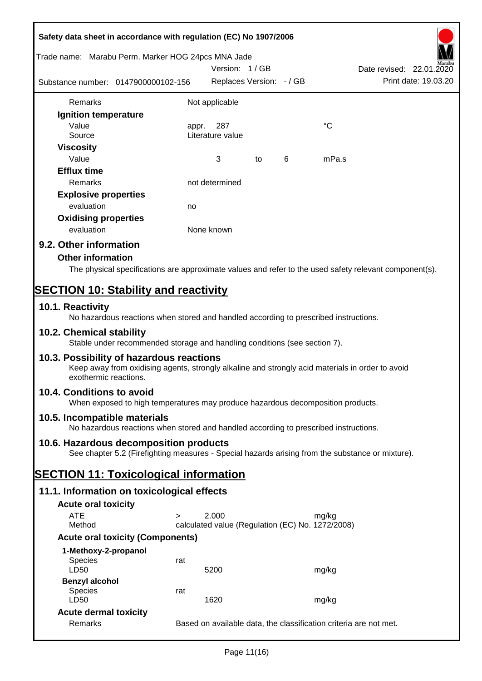| Safety data sheet in accordance with regulation (EC) No 1907/2006                                                                                                     |                                                                                                  |                                                                   |    |   |             |                                                  |
|-----------------------------------------------------------------------------------------------------------------------------------------------------------------------|--------------------------------------------------------------------------------------------------|-------------------------------------------------------------------|----|---|-------------|--------------------------------------------------|
| Trade name: Marabu Perm. Marker HOG 24pcs MNA Jade                                                                                                                    |                                                                                                  | Version: 1/GB                                                     |    |   |             |                                                  |
| Substance number: 0147900000102-156                                                                                                                                   |                                                                                                  | Replaces Version: - / GB                                          |    |   |             | Date revised: 22.01.2020<br>Print date: 19.03.20 |
| <b>Remarks</b>                                                                                                                                                        |                                                                                                  | Not applicable                                                    |    |   |             |                                                  |
| Ignition temperature                                                                                                                                                  |                                                                                                  |                                                                   |    |   |             |                                                  |
| Value                                                                                                                                                                 | appr.                                                                                            | 287                                                               |    |   | $^{\circ}C$ |                                                  |
| Source                                                                                                                                                                |                                                                                                  | Literature value                                                  |    |   |             |                                                  |
| <b>Viscosity</b>                                                                                                                                                      |                                                                                                  |                                                                   |    |   |             |                                                  |
| Value                                                                                                                                                                 |                                                                                                  | 3                                                                 | to | 6 | mPa.s       |                                                  |
| <b>Efflux time</b>                                                                                                                                                    |                                                                                                  |                                                                   |    |   |             |                                                  |
| Remarks                                                                                                                                                               |                                                                                                  | not determined                                                    |    |   |             |                                                  |
| <b>Explosive properties</b>                                                                                                                                           |                                                                                                  |                                                                   |    |   |             |                                                  |
| evaluation                                                                                                                                                            | no                                                                                               |                                                                   |    |   |             |                                                  |
| <b>Oxidising properties</b>                                                                                                                                           |                                                                                                  |                                                                   |    |   |             |                                                  |
| evaluation                                                                                                                                                            |                                                                                                  | None known                                                        |    |   |             |                                                  |
| 9.2. Other information                                                                                                                                                |                                                                                                  |                                                                   |    |   |             |                                                  |
| <b>Other information</b>                                                                                                                                              |                                                                                                  |                                                                   |    |   |             |                                                  |
| The physical specifications are approximate values and refer to the used safety relevant component(s).                                                                |                                                                                                  |                                                                   |    |   |             |                                                  |
|                                                                                                                                                                       |                                                                                                  |                                                                   |    |   |             |                                                  |
| <b>SECTION 10: Stability and reactivity</b>                                                                                                                           |                                                                                                  |                                                                   |    |   |             |                                                  |
| 10.1. Reactivity<br>No hazardous reactions when stored and handled according to prescribed instructions.                                                              |                                                                                                  |                                                                   |    |   |             |                                                  |
| 10.2. Chemical stability<br>Stable under recommended storage and handling conditions (see section 7).                                                                 |                                                                                                  |                                                                   |    |   |             |                                                  |
| 10.3. Possibility of hazardous reactions<br>Keep away from oxidising agents, strongly alkaline and strongly acid materials in order to avoid<br>exothermic reactions. |                                                                                                  |                                                                   |    |   |             |                                                  |
| 10.4. Conditions to avoid<br>When exposed to high temperatures may produce hazardous decomposition products.                                                          |                                                                                                  |                                                                   |    |   |             |                                                  |
| 10.5. Incompatible materials<br>No hazardous reactions when stored and handled according to prescribed instructions.                                                  |                                                                                                  |                                                                   |    |   |             |                                                  |
| 10.6. Hazardous decomposition products                                                                                                                                |                                                                                                  |                                                                   |    |   |             |                                                  |
|                                                                                                                                                                       | See chapter 5.2 (Firefighting measures - Special hazards arising from the substance or mixture). |                                                                   |    |   |             |                                                  |
| <b>SECTION 11: Toxicological information</b>                                                                                                                          |                                                                                                  |                                                                   |    |   |             |                                                  |
| 11.1. Information on toxicological effects                                                                                                                            |                                                                                                  |                                                                   |    |   |             |                                                  |
| <b>Acute oral toxicity</b>                                                                                                                                            |                                                                                                  |                                                                   |    |   |             |                                                  |
| <b>ATE</b><br>$\geq$                                                                                                                                                  |                                                                                                  | 2.000                                                             |    |   | mg/kg       |                                                  |
| Method                                                                                                                                                                |                                                                                                  | calculated value (Regulation (EC) No. 1272/2008)                  |    |   |             |                                                  |
| <b>Acute oral toxicity (Components)</b>                                                                                                                               |                                                                                                  |                                                                   |    |   |             |                                                  |
| 1-Methoxy-2-propanol                                                                                                                                                  |                                                                                                  |                                                                   |    |   |             |                                                  |
| <b>Species</b>                                                                                                                                                        | rat                                                                                              |                                                                   |    |   |             |                                                  |
| LD50                                                                                                                                                                  |                                                                                                  | 5200                                                              |    |   | mg/kg       |                                                  |
| <b>Benzyl alcohol</b>                                                                                                                                                 |                                                                                                  |                                                                   |    |   |             |                                                  |
| <b>Species</b><br>LD50                                                                                                                                                | rat                                                                                              | 1620                                                              |    |   | mg/kg       |                                                  |
| <b>Acute dermal toxicity</b>                                                                                                                                          |                                                                                                  |                                                                   |    |   |             |                                                  |
| Remarks                                                                                                                                                               |                                                                                                  | Based on available data, the classification criteria are not met. |    |   |             |                                                  |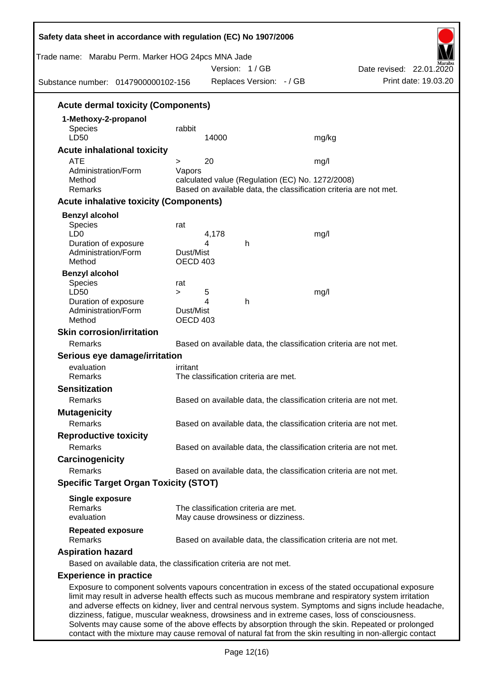| Trade name: Marabu Perm. Marker HOG 24pcs MNA Jade<br>Substance number: 0147900000102-156                                                                                                                                                                                                                           |                              | Version: 1/GB<br>Replaces Version: - / GB                                                                             |                                                                                                | Date revised: 22.01.2020<br>Print date: 19.03.20 |
|---------------------------------------------------------------------------------------------------------------------------------------------------------------------------------------------------------------------------------------------------------------------------------------------------------------------|------------------------------|-----------------------------------------------------------------------------------------------------------------------|------------------------------------------------------------------------------------------------|--------------------------------------------------|
|                                                                                                                                                                                                                                                                                                                     |                              |                                                                                                                       |                                                                                                |                                                  |
| <b>Acute dermal toxicity (Components)</b>                                                                                                                                                                                                                                                                           |                              |                                                                                                                       |                                                                                                |                                                  |
| 1-Methoxy-2-propanol<br>Species<br>LD50                                                                                                                                                                                                                                                                             | rabbit                       | 14000                                                                                                                 | mg/kg                                                                                          |                                                  |
| <b>Acute inhalational toxicity</b>                                                                                                                                                                                                                                                                                  |                              |                                                                                                                       |                                                                                                |                                                  |
| <b>ATE</b><br>Administration/Form<br>Method                                                                                                                                                                                                                                                                         | ><br>Vapors                  | 20                                                                                                                    | mg/l                                                                                           |                                                  |
| Remarks                                                                                                                                                                                                                                                                                                             |                              | calculated value (Regulation (EC) No. 1272/2008)<br>Based on available data, the classification criteria are not met. |                                                                                                |                                                  |
| <b>Acute inhalative toxicity (Components)</b>                                                                                                                                                                                                                                                                       |                              |                                                                                                                       |                                                                                                |                                                  |
| <b>Benzyl alcohol</b>                                                                                                                                                                                                                                                                                               |                              |                                                                                                                       |                                                                                                |                                                  |
| Species<br>LD <sub>0</sub><br>Duration of exposure                                                                                                                                                                                                                                                                  | rat                          | 4,178<br>4<br>h                                                                                                       | mg/l                                                                                           |                                                  |
| Administration/Form<br>Method                                                                                                                                                                                                                                                                                       | Dust/Mist<br>OECD 403        |                                                                                                                       |                                                                                                |                                                  |
| <b>Benzyl alcohol</b>                                                                                                                                                                                                                                                                                               |                              |                                                                                                                       |                                                                                                |                                                  |
| Species<br>LD50                                                                                                                                                                                                                                                                                                     | rat                          |                                                                                                                       |                                                                                                |                                                  |
| Duration of exposure                                                                                                                                                                                                                                                                                                | $\geq$                       | 5<br>4<br>h                                                                                                           | mg/l                                                                                           |                                                  |
| Administration/Form<br>Method                                                                                                                                                                                                                                                                                       | Dust/Mist<br><b>OECD 403</b> |                                                                                                                       |                                                                                                |                                                  |
| <b>Skin corrosion/irritation</b>                                                                                                                                                                                                                                                                                    |                              |                                                                                                                       |                                                                                                |                                                  |
| Remarks                                                                                                                                                                                                                                                                                                             |                              |                                                                                                                       | Based on available data, the classification criteria are not met.                              |                                                  |
| Serious eye damage/irritation                                                                                                                                                                                                                                                                                       |                              |                                                                                                                       |                                                                                                |                                                  |
| evaluation                                                                                                                                                                                                                                                                                                          | irritant                     |                                                                                                                       |                                                                                                |                                                  |
| Remarks                                                                                                                                                                                                                                                                                                             |                              | The classification criteria are met.                                                                                  |                                                                                                |                                                  |
| <b>Sensitization</b>                                                                                                                                                                                                                                                                                                |                              |                                                                                                                       |                                                                                                |                                                  |
| Remarks                                                                                                                                                                                                                                                                                                             |                              |                                                                                                                       | Based on available data, the classification criteria are not met.                              |                                                  |
| <b>Mutagenicity</b><br>Remarks                                                                                                                                                                                                                                                                                      |                              |                                                                                                                       |                                                                                                |                                                  |
|                                                                                                                                                                                                                                                                                                                     |                              |                                                                                                                       | Based on available data, the classification criteria are not met.                              |                                                  |
| <b>Reproductive toxicity</b>                                                                                                                                                                                                                                                                                        |                              |                                                                                                                       |                                                                                                |                                                  |
| Remarks                                                                                                                                                                                                                                                                                                             |                              |                                                                                                                       | Based on available data, the classification criteria are not met.                              |                                                  |
| Carcinogenicity<br>Remarks                                                                                                                                                                                                                                                                                          |                              |                                                                                                                       |                                                                                                |                                                  |
|                                                                                                                                                                                                                                                                                                                     |                              |                                                                                                                       | Based on available data, the classification criteria are not met.                              |                                                  |
| <b>Specific Target Organ Toxicity (STOT)</b>                                                                                                                                                                                                                                                                        |                              |                                                                                                                       |                                                                                                |                                                  |
| <b>Single exposure</b><br>Remarks                                                                                                                                                                                                                                                                                   |                              | The classification criteria are met.                                                                                  |                                                                                                |                                                  |
| evaluation                                                                                                                                                                                                                                                                                                          |                              | May cause drowsiness or dizziness.                                                                                    |                                                                                                |                                                  |
| <b>Repeated exposure</b><br>Remarks                                                                                                                                                                                                                                                                                 |                              |                                                                                                                       | Based on available data, the classification criteria are not met.                              |                                                  |
| <b>Aspiration hazard</b>                                                                                                                                                                                                                                                                                            |                              |                                                                                                                       |                                                                                                |                                                  |
| Based on available data, the classification criteria are not met.                                                                                                                                                                                                                                                   |                              |                                                                                                                       |                                                                                                |                                                  |
| <b>Experience in practice</b>                                                                                                                                                                                                                                                                                       |                              |                                                                                                                       |                                                                                                |                                                  |
| Exposure to component solvents vapours concentration in excess of the stated occupational exposure<br>limit may result in adverse health effects such as mucous membrane and respiratory system irritation<br>and adverse effects on kidney, liver and central nervous system. Symptoms and signs include headache, |                              |                                                                                                                       | dizziness, fatigue, muscular weakness, drowsiness and in extreme cases, loss of consciousness. |                                                  |

Solvents may cause some of the above effects by absorption through the skin. Repeated or prolonged contact with the mixture may cause removal of natural fat from the skin resulting in non-allergic contact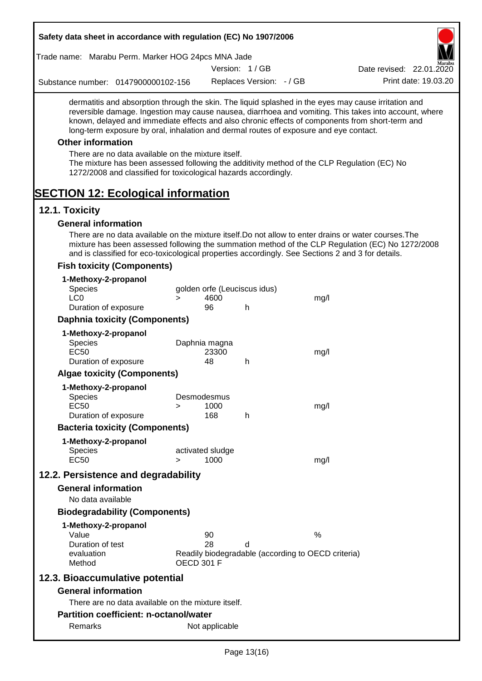| Safety data sheet in accordance with regulation (EC) No 1907/2006                                                                                                                                                                                                                                                                                                                                                                                                                                                                                                                                                                                             |                   |                  |                              |                                                    |                          |
|---------------------------------------------------------------------------------------------------------------------------------------------------------------------------------------------------------------------------------------------------------------------------------------------------------------------------------------------------------------------------------------------------------------------------------------------------------------------------------------------------------------------------------------------------------------------------------------------------------------------------------------------------------------|-------------------|------------------|------------------------------|----------------------------------------------------|--------------------------|
| Trade name: Marabu Perm. Marker HOG 24pcs MNA Jade                                                                                                                                                                                                                                                                                                                                                                                                                                                                                                                                                                                                            |                   |                  |                              |                                                    |                          |
|                                                                                                                                                                                                                                                                                                                                                                                                                                                                                                                                                                                                                                                               |                   |                  | Version: 1/GB                |                                                    | Date revised: 22.01.2020 |
| Substance number: 0147900000102-156                                                                                                                                                                                                                                                                                                                                                                                                                                                                                                                                                                                                                           |                   |                  | Replaces Version: - / GB     |                                                    | Print date: 19.03.20     |
| dermatitis and absorption through the skin. The liquid splashed in the eyes may cause irritation and<br>reversible damage. Ingestion may cause nausea, diarrhoea and vomiting. This takes into account, where<br>known, delayed and immediate effects and also chronic effects of components from short-term and<br>long-term exposure by oral, inhalation and dermal routes of exposure and eye contact.<br><b>Other information</b><br>There are no data available on the mixture itself.<br>The mixture has been assessed following the additivity method of the CLP Regulation (EC) No<br>1272/2008 and classified for toxicological hazards accordingly. |                   |                  |                              |                                                    |                          |
| <b>SECTION 12: Ecological information</b>                                                                                                                                                                                                                                                                                                                                                                                                                                                                                                                                                                                                                     |                   |                  |                              |                                                    |                          |
| 12.1. Toxicity                                                                                                                                                                                                                                                                                                                                                                                                                                                                                                                                                                                                                                                |                   |                  |                              |                                                    |                          |
| <b>General information</b>                                                                                                                                                                                                                                                                                                                                                                                                                                                                                                                                                                                                                                    |                   |                  |                              |                                                    |                          |
| There are no data available on the mixture itself. Do not allow to enter drains or water courses. The<br>mixture has been assessed following the summation method of the CLP Regulation (EC) No 1272/2008<br>and is classified for eco-toxicological properties accordingly. See Sections 2 and 3 for details.                                                                                                                                                                                                                                                                                                                                                |                   |                  |                              |                                                    |                          |
| <b>Fish toxicity (Components)</b>                                                                                                                                                                                                                                                                                                                                                                                                                                                                                                                                                                                                                             |                   |                  |                              |                                                    |                          |
| 1-Methoxy-2-propanol                                                                                                                                                                                                                                                                                                                                                                                                                                                                                                                                                                                                                                          |                   |                  |                              |                                                    |                          |
| <b>Species</b><br>LC <sub>0</sub>                                                                                                                                                                                                                                                                                                                                                                                                                                                                                                                                                                                                                             |                   |                  | golden orfe (Leuciscus idus) |                                                    |                          |
| Duration of exposure                                                                                                                                                                                                                                                                                                                                                                                                                                                                                                                                                                                                                                          | $\geq$            | 4600<br>96       | h                            | mg/l                                               |                          |
| <b>Daphnia toxicity (Components)</b>                                                                                                                                                                                                                                                                                                                                                                                                                                                                                                                                                                                                                          |                   |                  |                              |                                                    |                          |
|                                                                                                                                                                                                                                                                                                                                                                                                                                                                                                                                                                                                                                                               |                   |                  |                              |                                                    |                          |
| 1-Methoxy-2-propanol<br><b>Species</b>                                                                                                                                                                                                                                                                                                                                                                                                                                                                                                                                                                                                                        |                   | Daphnia magna    |                              |                                                    |                          |
| <b>EC50</b>                                                                                                                                                                                                                                                                                                                                                                                                                                                                                                                                                                                                                                                   |                   | 23300            |                              | mg/l                                               |                          |
| Duration of exposure                                                                                                                                                                                                                                                                                                                                                                                                                                                                                                                                                                                                                                          |                   | 48               | h                            |                                                    |                          |
| <b>Algae toxicity (Components)</b>                                                                                                                                                                                                                                                                                                                                                                                                                                                                                                                                                                                                                            |                   |                  |                              |                                                    |                          |
| 1-Methoxy-2-propanol                                                                                                                                                                                                                                                                                                                                                                                                                                                                                                                                                                                                                                          |                   |                  |                              |                                                    |                          |
| <b>Species</b>                                                                                                                                                                                                                                                                                                                                                                                                                                                                                                                                                                                                                                                | Desmodesmus       |                  |                              |                                                    |                          |
| <b>EC50</b>                                                                                                                                                                                                                                                                                                                                                                                                                                                                                                                                                                                                                                                   | >                 | 1000             |                              | mg/l                                               |                          |
| Duration of exposure                                                                                                                                                                                                                                                                                                                                                                                                                                                                                                                                                                                                                                          |                   | 168              | h                            |                                                    |                          |
| <b>Bacteria toxicity (Components)</b>                                                                                                                                                                                                                                                                                                                                                                                                                                                                                                                                                                                                                         |                   |                  |                              |                                                    |                          |
| 1-Methoxy-2-propanol                                                                                                                                                                                                                                                                                                                                                                                                                                                                                                                                                                                                                                          |                   |                  |                              |                                                    |                          |
| Species                                                                                                                                                                                                                                                                                                                                                                                                                                                                                                                                                                                                                                                       |                   | activated sludge |                              |                                                    |                          |
| <b>EC50</b>                                                                                                                                                                                                                                                                                                                                                                                                                                                                                                                                                                                                                                                   | $\geq$            | 1000             |                              | mg/l                                               |                          |
| 12.2. Persistence and degradability                                                                                                                                                                                                                                                                                                                                                                                                                                                                                                                                                                                                                           |                   |                  |                              |                                                    |                          |
| <b>General information</b>                                                                                                                                                                                                                                                                                                                                                                                                                                                                                                                                                                                                                                    |                   |                  |                              |                                                    |                          |
| No data available                                                                                                                                                                                                                                                                                                                                                                                                                                                                                                                                                                                                                                             |                   |                  |                              |                                                    |                          |
| <b>Biodegradability (Components)</b>                                                                                                                                                                                                                                                                                                                                                                                                                                                                                                                                                                                                                          |                   |                  |                              |                                                    |                          |
| 1-Methoxy-2-propanol                                                                                                                                                                                                                                                                                                                                                                                                                                                                                                                                                                                                                                          |                   |                  |                              |                                                    |                          |
| Value                                                                                                                                                                                                                                                                                                                                                                                                                                                                                                                                                                                                                                                         |                   | 90               |                              | %                                                  |                          |
| Duration of test                                                                                                                                                                                                                                                                                                                                                                                                                                                                                                                                                                                                                                              |                   | 28               | d                            |                                                    |                          |
| evaluation<br>Method                                                                                                                                                                                                                                                                                                                                                                                                                                                                                                                                                                                                                                          | <b>OECD 301 F</b> |                  |                              | Readily biodegradable (according to OECD criteria) |                          |
| 12.3. Bioaccumulative potential                                                                                                                                                                                                                                                                                                                                                                                                                                                                                                                                                                                                                               |                   |                  |                              |                                                    |                          |
| <b>General information</b>                                                                                                                                                                                                                                                                                                                                                                                                                                                                                                                                                                                                                                    |                   |                  |                              |                                                    |                          |
| There are no data available on the mixture itself.                                                                                                                                                                                                                                                                                                                                                                                                                                                                                                                                                                                                            |                   |                  |                              |                                                    |                          |
| <b>Partition coefficient: n-octanol/water</b>                                                                                                                                                                                                                                                                                                                                                                                                                                                                                                                                                                                                                 |                   |                  |                              |                                                    |                          |
| Remarks                                                                                                                                                                                                                                                                                                                                                                                                                                                                                                                                                                                                                                                       |                   | Not applicable   |                              |                                                    |                          |
|                                                                                                                                                                                                                                                                                                                                                                                                                                                                                                                                                                                                                                                               |                   |                  |                              |                                                    |                          |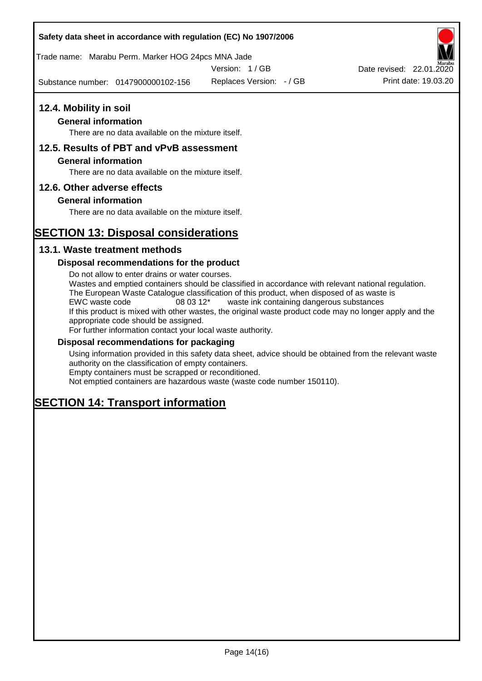#### **Safety data sheet in accordance with regulation (EC) No 1907/2006**

Trade name: Marabu Perm. Marker HOG 24pcs MNA Jade

Version: 1 / GB

Substance number: 0147900000102-156

Replaces Version: - / GB Print date: 19.03.20 Date revised: 22.01.2020

# **12.4. Mobility in soil**

## **General information**

There are no data available on the mixture itself.

## **12.5. Results of PBT and vPvB assessment**

#### **General information**

There are no data available on the mixture itself.

#### **12.6. Other adverse effects**

#### **General information**

There are no data available on the mixture itself.

# **SECTION 13: Disposal considerations**

#### **13.1. Waste treatment methods**

#### **Disposal recommendations for the product**

Do not allow to enter drains or water courses. Wastes and emptied containers should be classified in accordance with relevant national regulation. The European Waste Catalogue classification of this product, when disposed of as waste is EWC waste code 08 03 12\* waste ink containing dangerous substances If this product is mixed with other wastes, the original waste product code may no longer apply and the appropriate code should be assigned. For further information contact your local waste authority.

#### **Disposal recommendations for packaging**

Using information provided in this safety data sheet, advice should be obtained from the relevant waste authority on the classification of empty containers. Empty containers must be scrapped or reconditioned.

Not emptied containers are hazardous waste (waste code number 150110).

# **SECTION 14: Transport information**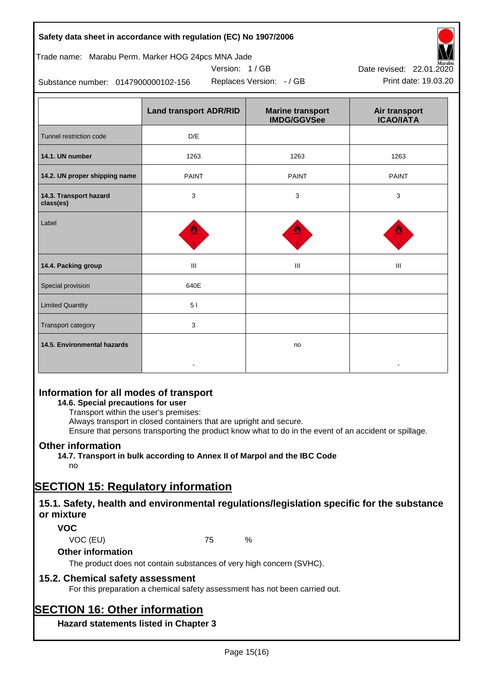| Safety data sheet in accordance with regulation (EC) No 1907/2006 |  |
|-------------------------------------------------------------------|--|
|-------------------------------------------------------------------|--|

#### Trade name: Marabu Perm. Marker HOG 24pcs MNA Jade

Version: 1 / GB



Substance number: 0147900000102-156

|                                     | <b>Land transport ADR/RID</b> | <b>Marine transport</b><br><b>IMDG/GGVSee</b> | Air transport<br><b>ICAO/IATA</b> |
|-------------------------------------|-------------------------------|-----------------------------------------------|-----------------------------------|
| Tunnel restriction code             | D/E                           |                                               |                                   |
| 14.1. UN number                     | 1263                          | 1263                                          | 1263                              |
| 14.2. UN proper shipping name       | <b>PAINT</b>                  | <b>PAINT</b>                                  | <b>PAINT</b>                      |
| 14.3. Transport hazard<br>class(es) | 3                             | 3                                             | 3                                 |
| Label                               |                               |                                               |                                   |
| 14.4. Packing group                 | Ш                             | Ш                                             | III                               |
| Special provision                   | 640E                          |                                               |                                   |
| <b>Limited Quantity</b>             | 51                            |                                               |                                   |
| Transport category                  | 3                             |                                               |                                   |
| 14.5. Environmental hazards         |                               | no                                            |                                   |

# **Information for all modes of transport**

## **14.6. Special precautions for user**

Transport within the user's premises:

Always transport in closed containers that are upright and secure.

Ensure that persons transporting the product know what to do in the event of an accident or spillage.

# **Other information**

**14.7. Transport in bulk according to Annex II of Marpol and the IBC Code** no

# **SECTION 15: Regulatory information**

# **15.1. Safety, health and environmental regulations/legislation specific for the substance or mixture**

# **VOC**

VOC (EU) 75 %

# **Other information**

The product does not contain substances of very high concern (SVHC).

# **15.2. Chemical safety assessment**

For this preparation a chemical safety assessment has not been carried out.

# **SECTION 16: Other information**

**Hazard statements listed in Chapter 3**